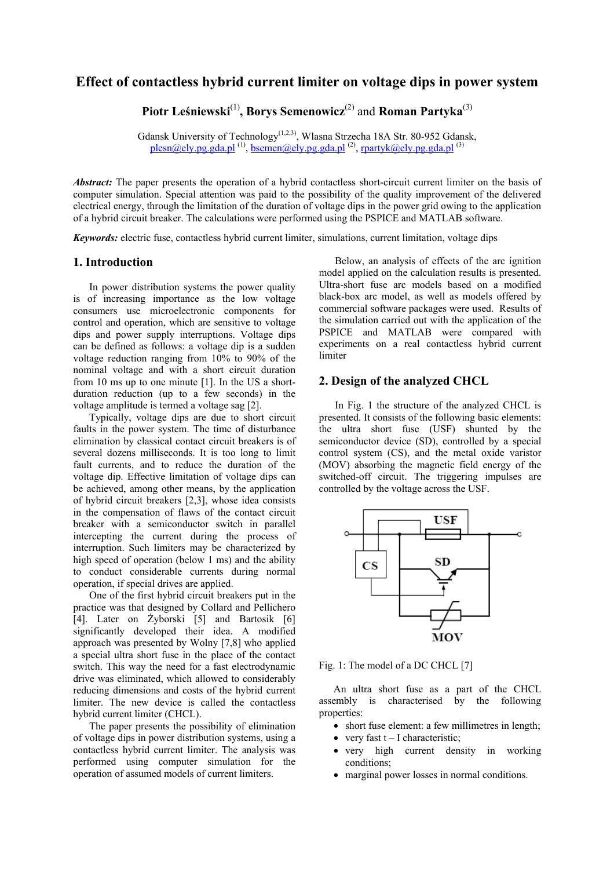# **Effect of contactless hybrid current limiter on voltage dips in power system**

**Piotr Leśniewski**(1)**, Borys Semenowicz**(2) and **Roman Partyka**(3)

Gdansk University of Technology(1,2,3), Wlasna Strzecha 18A Str. 80-952 Gdansk, <u>plesn@ely.pg.gda.pl (1), bsemen@ely.pg.gda.pl</u> <sup>(2)</sup>, <u>rpartyk@ely.pg.gda.pl</u> <sup>(3)</sup>

*Abstract:* The paper presents the operation of a hybrid contactless short-circuit current limiter on the basis of computer simulation. Special attention was paid to the possibility of the quality improvement of the delivered electrical energy, through the limitation of the duration of voltage dips in the power grid owing to the application of a hybrid circuit breaker. The calculations were performed using the PSPICE and MATLAB software.

*Keywords:* electric fuse, contactless hybrid current limiter, simulations, current limitation, voltage dips

#### **1. Introduction**

 In power distribution systems the power quality is of increasing importance as the low voltage consumers use microelectronic components for control and operation, which are sensitive to voltage dips and power supply interruptions. Voltage dips can be defined as follows: a voltage dip is a sudden voltage reduction ranging from 10% to 90% of the nominal voltage and with a short circuit duration from 10 ms up to one minute [1]. In the US a shortduration reduction (up to a few seconds) in the voltage amplitude is termed a voltage sag [2].

 Typically, voltage dips are due to short circuit faults in the power system. The time of disturbance elimination by classical contact circuit breakers is of several dozens milliseconds. It is too long to limit fault currents, and to reduce the duration of the voltage dip. Effective limitation of voltage dips can be achieved, among other means, by the application of hybrid circuit breakers [2,3], whose idea consists in the compensation of flaws of the contact circuit breaker with a semiconductor switch in parallel intercepting the current during the process of interruption. Such limiters may be characterized by high speed of operation (below 1 ms) and the ability to conduct considerable currents during normal operation, if special drives are applied.

 One of the first hybrid circuit breakers put in the practice was that designed by Collard and Pellichero [4]. Later on Żyborski [5] and Bartosik [6] significantly developed their idea. A modified approach was presented by Wolny [7,8] who applied a special ultra short fuse in the place of the contact switch. This way the need for a fast electrodynamic drive was eliminated, which allowed to considerably reducing dimensions and costs of the hybrid current limiter. The new device is called the contactless hybrid current limiter (CHCL).

 The paper presents the possibility of elimination of voltage dips in power distribution systems, using a contactless hybrid current limiter. The analysis was performed using computer simulation for the operation of assumed models of current limiters.

 Below, an analysis of effects of the arc ignition model applied on the calculation results is presented. Ultra-short fuse arc models based on a modified black-box arc model, as well as models offered by commercial software packages were used. Results of the simulation carried out with the application of the PSPICE and MATLAB were compared with experiments on a real contactless hybrid current limiter

# **2. Design of the analyzed CHCL**

In Fig. 1 the structure of the analyzed CHCL is presented. It consists of the following basic elements: the ultra short fuse (USF) shunted by the semiconductor device (SD), controlled by a special control system (CS), and the metal oxide varistor (MOV) absorbing the magnetic field energy of the switched-off circuit. The triggering impulses are controlled by the voltage across the USF.



Fig. 1: The model of a DC CHCL [7]

An ultra short fuse as a part of the CHCL assembly is characterised by the following properties:

- short fuse element: a few millimetres in length;
- very fast  $t I$  characteristic;
- very high current density in working conditions;
- marginal power losses in normal conditions.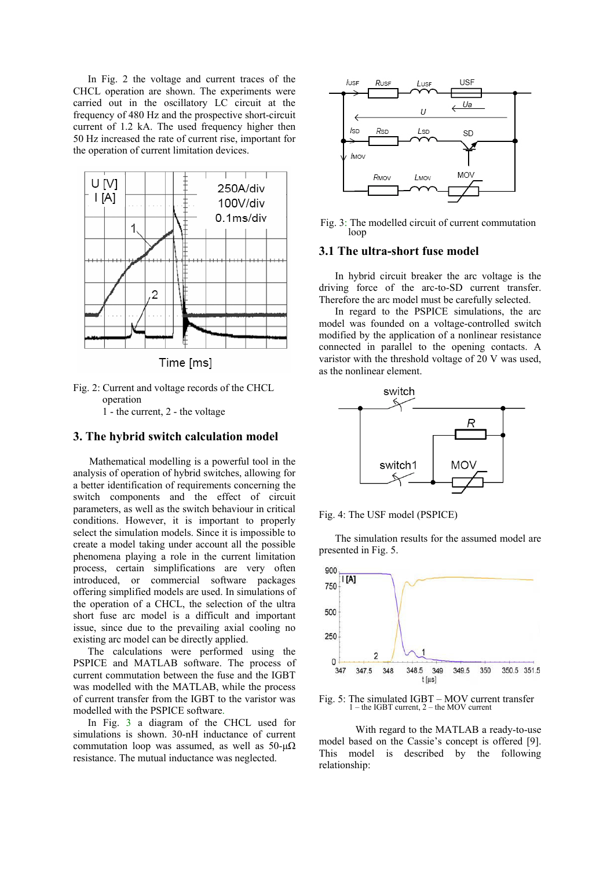In Fig. 2 the voltage and current traces of the CHCL operation are shown. The experiments were carried out in the oscillatory LC circuit at the frequency of 480 Hz and the prospective short-circuit current of 1.2 kA. The used frequency higher then 50 Hz increased the rate of current rise, important for the operation of current limitation devices.



Time [ms]

Fig. 2: Current and voltage records of the CHCL operation 1 - the current, 2 - the voltage

# **3. The hybrid switch calculation model**

 Mathematical modelling is a powerful tool in the analysis of operation of hybrid switches, allowing for a better identification of requirements concerning the switch components and the effect of circuit parameters, as well as the switch behaviour in critical conditions. However, it is important to properly select the simulation models. Since it is impossible to create a model taking under account all the possible phenomena playing a role in the current limitation process, certain simplifications are very often introduced, or commercial software packages offering simplified models are used. In simulations of the operation of a CHCL, the selection of the ultra short fuse arc model is a difficult and important issue, since due to the prevailing axial cooling no existing arc model can be directly applied.

The calculations were performed using the PSPICE and MATLAB software. The process of current commutation between the fuse and the IGBT was modelled with the MATLAB, while the process of current transfer from the IGBT to the varistor was modelled with the PSPICE software.

In Fig. 3 a diagram of the CHCL used for simulations is shown. 30-nH inductance of current commutation loop was assumed, as well as  $50-\mu\Omega$ resistance. The mutual inductance was neglected.



Fig. 3: The modelled circuit of current commutation loop

## **3.1 The ultra-short fuse model**

 In hybrid circuit breaker the arc voltage is the driving force of the arc-to-SD current transfer. Therefore the arc model must be carefully selected.

 In regard to the PSPICE simulations, the arc model was founded on a voltage-controlled switch modified by the application of a nonlinear resistance connected in parallel to the opening contacts. A varistor with the threshold voltage of 20 V was used, as the nonlinear element.



Fig. 4: The USF model (PSPICE)

 The simulation results for the assumed model are presented in Fig. 5.



Fig. 5: The simulated IGBT – MOV current transfer 1 – the IGBT current, 2 – the MOV current

 With regard to the MATLAB a ready-to-use model based on the Cassie's concept is offered [9]. This model is described by the following relationship: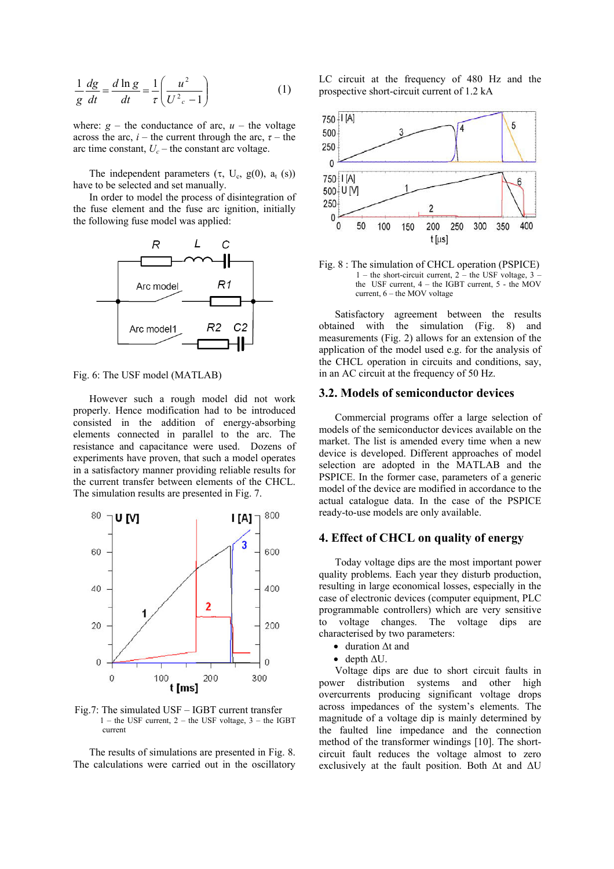$$
\frac{1}{g}\frac{dg}{dt} = \frac{d\ln g}{dt} = \frac{1}{\tau} \left(\frac{u^2}{U^2 - 1}\right)
$$
(1)

where:  $g$  – the conductance of arc,  $u$  – the voltage across the arc,  $i$  – the current through the arc,  $\tau$  – the arc time constant,  $U_c$  – the constant arc voltage.

The independent parameters  $(\tau, U_c, g(0), a_t(s))$ have to be selected and set manually.

 In order to model the process of disintegration of the fuse element and the fuse arc ignition, initially the following fuse model was applied:



Fig. 6: The USF model (MATLAB)

 However such a rough model did not work properly. Hence modification had to be introduced consisted in the addition of energy-absorbing elements connected in parallel to the arc. The resistance and capacitance were used. Dozens of experiments have proven, that such a model operates in a satisfactory manner providing reliable results for the current transfer between elements of the CHCL. The simulation results are presented in Fig. 7.



Fig.7: The simulated USF – IGBT current transfer  $1$  – the USF current,  $2$  – the USF voltage,  $3$  – the IGBT current

 The results of simulations are presented in Fig. 8. The calculations were carried out in the oscillatory LC circuit at the frequency of 480 Hz and the prospective short-circuit current of 1.2 kA



Fig. 8 : The simulation of CHCL operation (PSPICE) 1 – the short-circuit current,  $2$  – the USF voltage,  $3$  – the USF current, 4 – the IGBT current, 5 - the MOV current,  $6$  – the MOV voltage

 Satisfactory agreement between the results obtained with the simulation (Fig. 8) and measurements (Fig. 2) allows for an extension of the application of the model used e.g. for the analysis of the CHCL operation in circuits and conditions, say, in an AC circuit at the frequency of 50 Hz.

## **3.2. Models of semiconductor devices**

 Commercial programs offer a large selection of models of the semiconductor devices available on the market. The list is amended every time when a new device is developed. Different approaches of model selection are adopted in the MATLAB and the PSPICE. In the former case, parameters of a generic model of the device are modified in accordance to the actual catalogue data. In the case of the PSPICE ready-to-use models are only available.

# **4. Effect of CHCL on quality of energy**

 Today voltage dips are the most important power quality problems. Each year they disturb production, resulting in large economical losses, especially in the case of electronic devices (computer equipment, PLC programmable controllers) which are very sensitive to voltage changes. The voltage dips are characterised by two parameters:

- duration ∆t and
- depth ∆U.

 Voltage dips are due to short circuit faults in power distribution systems and other high overcurrents producing significant voltage drops across impedances of the system's elements. The magnitude of a voltage dip is mainly determined by the faulted line impedance and the connection method of the transformer windings [10]. The shortcircuit fault reduces the voltage almost to zero exclusively at the fault position. Both ∆t and ∆U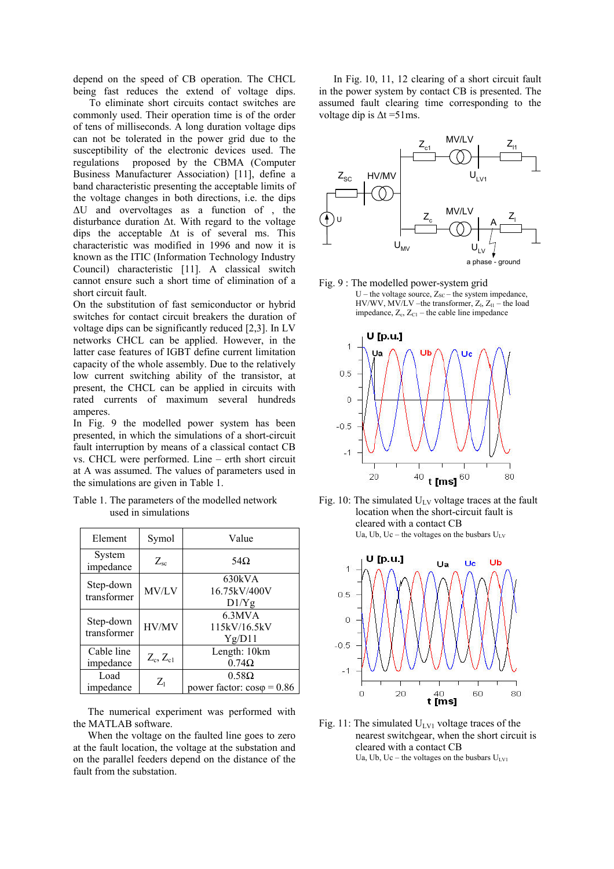depend on the speed of CB operation. The CHCL being fast reduces the extend of voltage dips.

 To eliminate short circuits contact switches are commonly used. Their operation time is of the order of tens of milliseconds. A long duration voltage dips can not be tolerated in the power grid due to the susceptibility of the electronic devices used. The regulations proposed by the CBMA (Computer Business Manufacturer Association) [11], define a band characteristic presenting the acceptable limits of the voltage changes in both directions, i.e. the dips ∆U and overvoltages as a function of , the disturbance duration ∆t. With regard to the voltage dips the acceptable ∆t is of several ms. This characteristic was modified in 1996 and now it is known as the ITIC (Information Technology Industry Council) characteristic [11]. A classical switch cannot ensure such a short time of elimination of a short circuit fault.

On the substitution of fast semiconductor or hybrid switches for contact circuit breakers the duration of voltage dips can be significantly reduced [2,3]. In LV networks CHCL can be applied. However, in the latter case features of IGBT define current limitation capacity of the whole assembly. Due to the relatively low current switching ability of the transistor, at present, the CHCL can be applied in circuits with rated currents of maximum several hundreds amperes.

In Fig. 9 the modelled power system has been presented, in which the simulations of a short-circuit fault interruption by means of a classical contact CB vs. CHCL were performed. Line – erth short circuit at A was assumed. The values of parameters used in the simulations are given in Table 1.

| Table 1. The parameters of the modelled network |  |
|-------------------------------------------------|--|
| used in simulations                             |  |

| Element                  | Symol         | Value                                             |
|--------------------------|---------------|---------------------------------------------------|
| System<br>impedance      | $Z_{\rm sc}$  | 54 $\Omega$                                       |
| Step-down<br>transformer | MV/LV         | 630kVA<br>16.75kV/400V<br>D1/Yg                   |
| Step-down<br>transformer | HV/MV         | 6.3MVA<br>115kV/16.5kV<br>Yg/D11                  |
| Cable line<br>impedance  | $Z_c, Z_{c1}$ | Length: 10km<br>$0.74\Omega$                      |
| Load<br>impedance        | $Z_1$         | $0.58\Omega$<br>power factor: $cos\varphi = 0.86$ |

The numerical experiment was performed with the MATLAB software.

When the voltage on the faulted line goes to zero at the fault location, the voltage at the substation and on the parallel feeders depend on the distance of the fault from the substation.

In Fig. 10, 11, 12 clearing of a short circuit fault in the power system by contact CB is presented. The assumed fault clearing time corresponding to the voltage dip is  $\Delta t = 51$ ms.



Fig. 9 : The modelled power-system grid U – the voltage source,  $Z_{SC}$  – the system impedance,  $HV/WV$ ,  $MV/LV$  –the transformer,  $Z_{1}$ ,  $Z_{11}$  – the load impedance,  $Z_c$ ,  $Z_{C1}$  – the cable line impedance







Fig. 11: The simulated  $U_{UV1}$  voltage traces of the nearest switchgear, when the short circuit is cleared with a contact CB Ua, Ub, Uc – the voltages on the busbars  $U_{LV1}$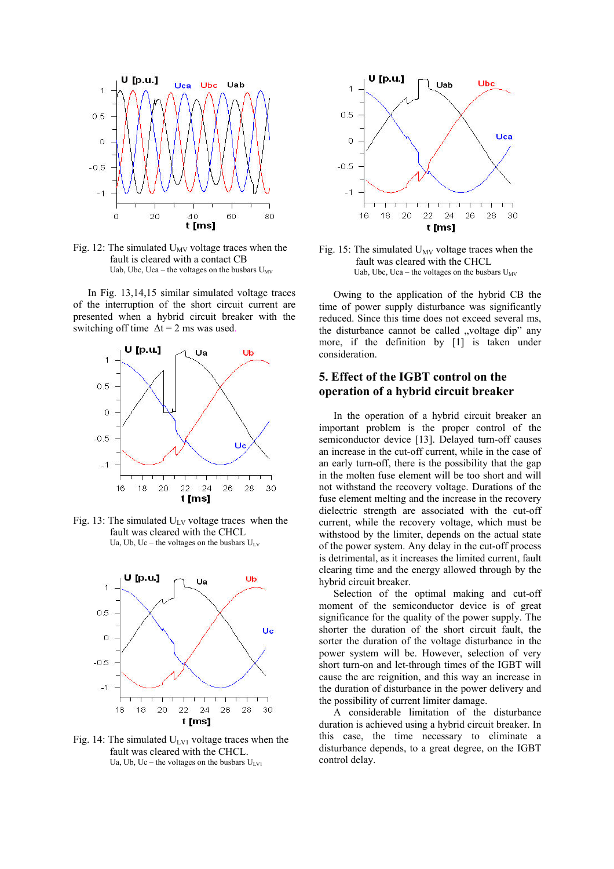

Fig. 12: The simulated  $U_{MV}$  voltage traces when the fault is cleared with a contact CB Uab, Ubc, Uca – the voltages on the busbars  $U_{MV}$ 

In Fig. 13,14,15 similar simulated voltage traces of the interruption of the short circuit current are presented when a hybrid circuit breaker with the switching off time  $\Delta t = 2$  ms was used.



Fig. 13: The simulated  $U_{\text{LV}}$  voltage traces when the fault was cleared with the CHCL Ua, Ub, Uc – the voltages on the busbars  $U_{LV}$ 



Fig. 14: The simulated  $U_{UV1}$  voltage traces when the fault was cleared with the CHCL. Ua, Ub, Uc – the voltages on the busbars  $U_{UV}$ 



Fig. 15: The simulated  $U_{MV}$  voltage traces when the fault was cleared with the CHCL Uab, Ubc, Uca – the voltages on the busbars  $U_{MV}$ 

Owing to the application of the hybrid CB the time of power supply disturbance was significantly reduced. Since this time does not exceed several ms, the disturbance cannot be called "voltage dip" any more, if the definition by [1] is taken under consideration.

# **5. Effect of the IGBT control on the operation of a hybrid circuit breaker**

In the operation of a hybrid circuit breaker an important problem is the proper control of the semiconductor device [13]. Delayed turn-off causes an increase in the cut-off current, while in the case of an early turn-off, there is the possibility that the gap in the molten fuse element will be too short and will not withstand the recovery voltage. Durations of the fuse element melting and the increase in the recovery dielectric strength are associated with the cut-off current, while the recovery voltage, which must be withstood by the limiter, depends on the actual state of the power system. Any delay in the cut-off process is detrimental, as it increases the limited current, fault clearing time and the energy allowed through by the hybrid circuit breaker.

Selection of the optimal making and cut-off moment of the semiconductor device is of great significance for the quality of the power supply. The shorter the duration of the short circuit fault, the sorter the duration of the voltage disturbance in the power system will be. However, selection of very short turn-on and let-through times of the IGBT will cause the arc reignition, and this way an increase in the duration of disturbance in the power delivery and the possibility of current limiter damage.

A considerable limitation of the disturbance duration is achieved using a hybrid circuit breaker. In this case, the time necessary to eliminate a disturbance depends, to a great degree, on the IGBT control delay.